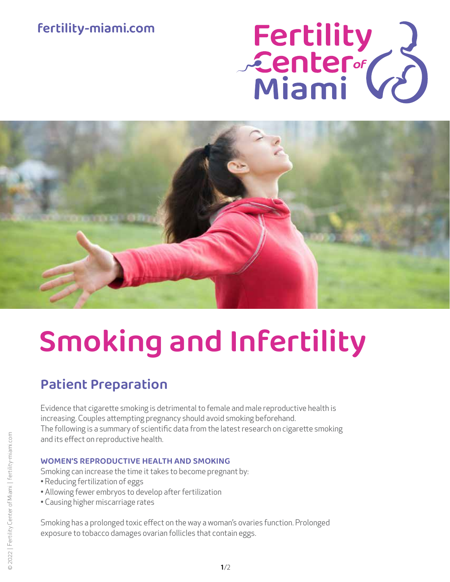## **fertility-miami.com**

# Fertility<br>Center (2)



# Smoking and Infertility

# Patient Preparation

Evidence that cigarette smoking is detrimental to female and male reproductive health is increasing. Couples attempting pregnancy should avoid smoking beforehand. The following is a summary of scientific data from the latest research on cigarette smoking and its effect on reproductive health.

#### WOMEN'S REPRODUCTIVE HEALTH AND SMOKING

Smoking can increase the time it takes to become pregnant by:

- Reducing fertilization of eggs
- Allowing fewer embryos to develop after fertilization
- Causing higher miscarriage rates

Smoking has a prolonged toxic effect on the way a woman's ovaries function. Prolonged exposure to tobacco damages ovarian follicles that contain eggs.